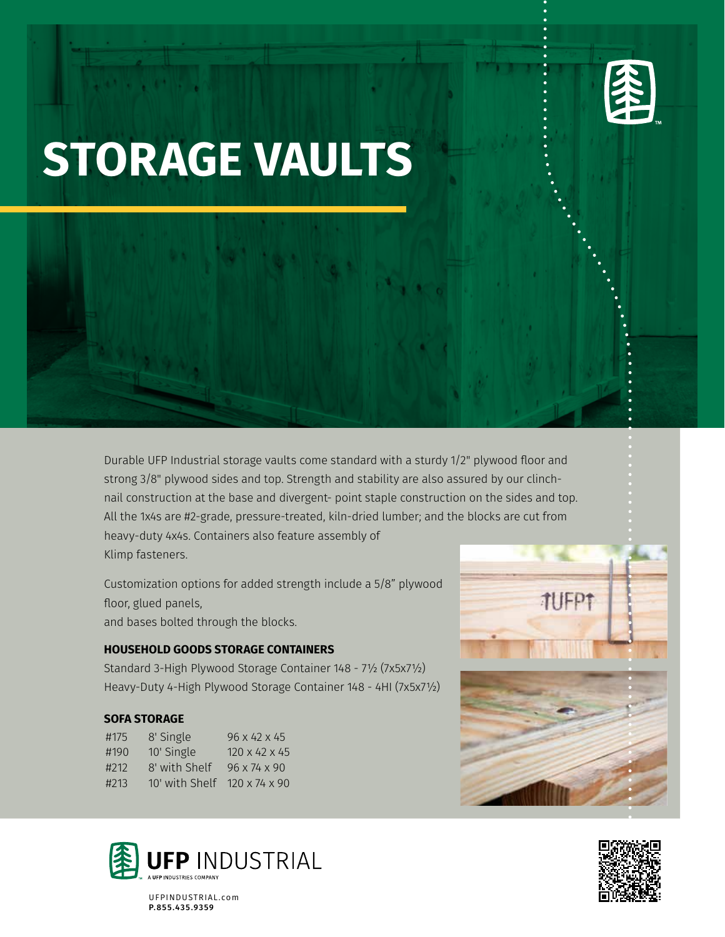

## **STORAGE VAULTS**

Durable UFP Industrial storage vaults come standard with a sturdy 1/2" plywood floor and strong 3/8" plywood sides and top. Strength and stability are also assured by our clinchnail construction at the base and divergent- point staple construction on the sides and top. All the 1x4s are #2-grade, pressure-treated, kiln-dried lumber; and the blocks are cut from heavy-duty 4x4s. Containers also feature assembly of Klimp fasteners.

Customization options for added strength include a 5/8" plywood floor, glued panels, and bases bolted through the blocks.

## **HOUSEHOLD GOODS STORAGE CONTAINERS**

Standard 3-High Plywood Storage Container 148 - 7½ (7x5x7½) Heavy-Duty 4-High Plywood Storage Container 148 - 4HI (7x5x7½)

## **SOFA STORAGE**

| #175 | 8' Single      | 96 x 42 x 45              |
|------|----------------|---------------------------|
| #190 | 10' Single     | 120 x 42 x 45             |
| #212 | 8' with Shelf  | 96 x 74 x 90              |
| #213 | 10' with Shelf | $120 \times 74 \times 90$ |







UFPINDUSTRIAL.com P.855 435 9359